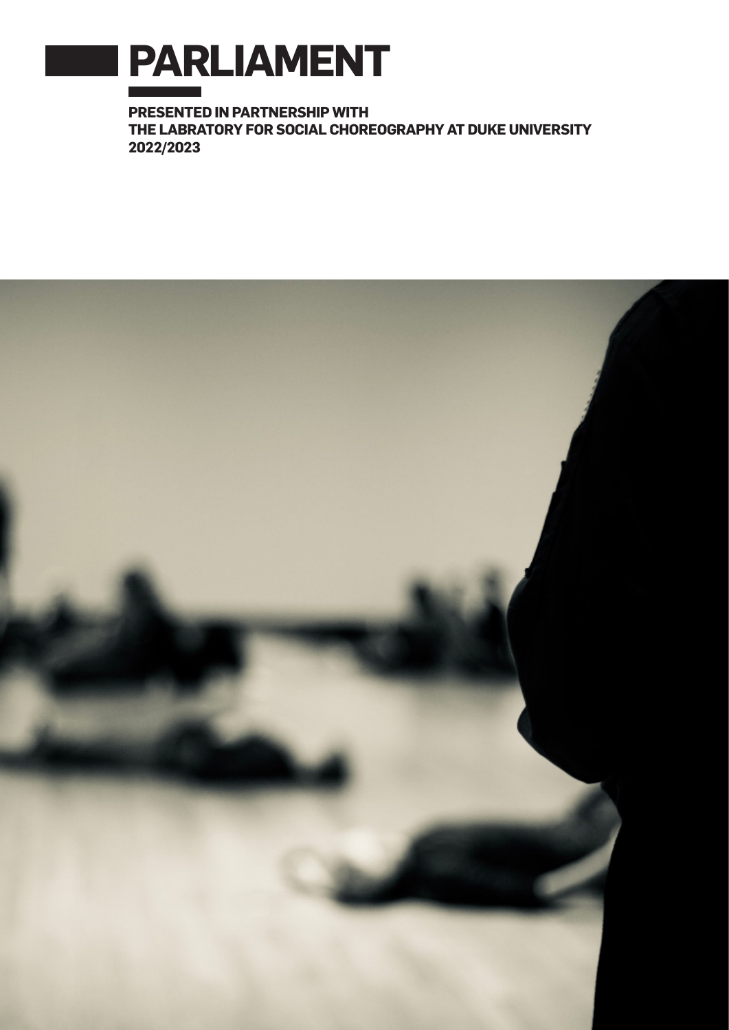

**PRESENTED IN PARTNERSHIP WITH THE LABRATORY FOR SOCIAL CHOREOGRAPHY AT DUKE UNIVERSITY 2022/2023**

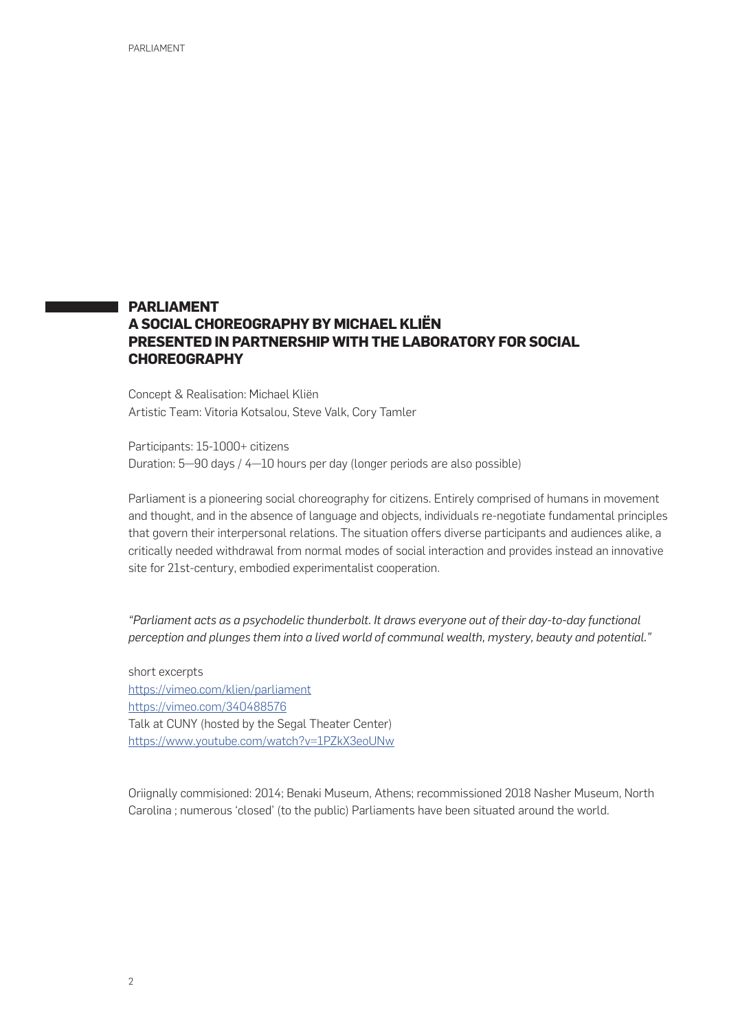# **PARLIAMENT A SOCIAL CHOREOGRAPHY BY MICHAEL KLIËN PRESENTED IN PARTNERSHIP WITH THE LABORATORY FOR SOCIAL CHOREOGRAPHY**

Concept & Realisation: Michael Kliën Artistic Team: Vitoria Kotsalou, Steve Valk, Cory Tamler

Participants: 15-1000+ citizens Duration: 5—90 days / 4—10 hours per day (longer periods are also possible)

Parliament is a pioneering social choreography for citizens. Entirely comprised of humans in movement and thought, and in the absence of language and objects, individuals re-negotiate fundamental principles that govern their interpersonal relations. The situation offers diverse participants and audiences alike, a critically needed withdrawal from normal modes of social interaction and provides instead an innovative site for 21st-century, embodied experimentalist cooperation.

*"Parliament acts as a psychodelic thunderbolt. It draws everyone out of their day-to-day functional perception and plunges them into a lived world of communal wealth, mystery, beauty and potential."* 

short excerpts https://vimeo.com/klien/parliament https://vimeo.com/340488576 Talk at CUNY (hosted by the Segal Theater Center) https://www.youtube.com/watch?v=1PZkX3eoUNw

Oriignally commisioned: 2014; Benaki Museum, Athens; recommissioned 2018 Nasher Museum, North Carolina ; numerous 'closed' (to the public) Parliaments have been situated around the world.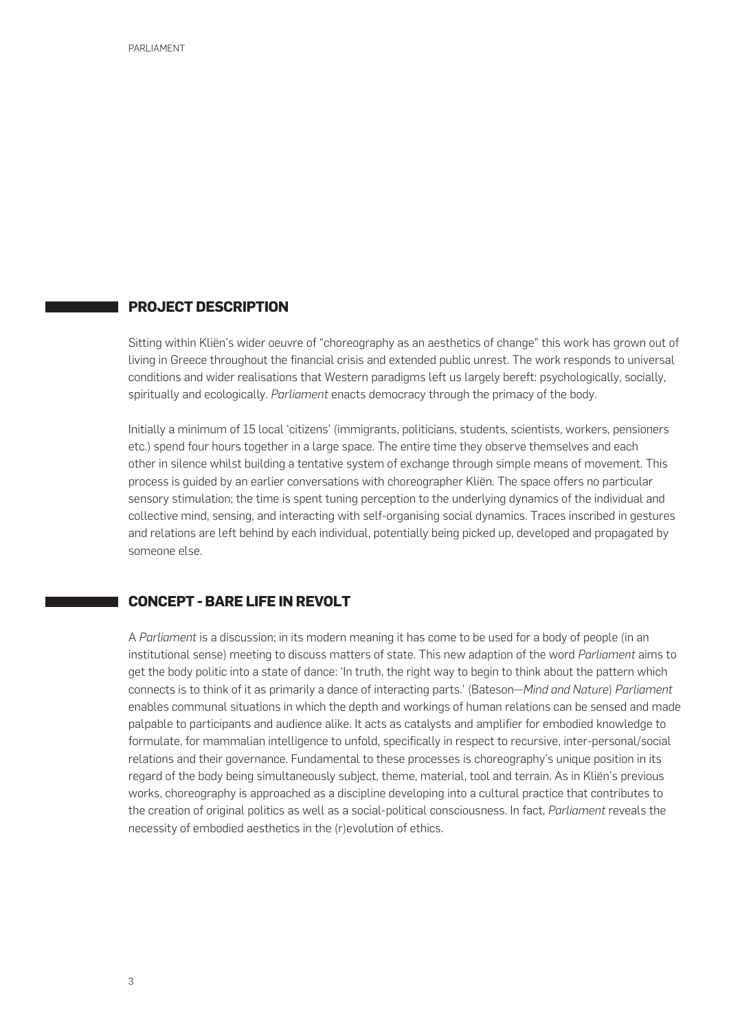### **PROJECT DESCRIPTION**

Sitting within Kliën's wider oeuvre of "choreography as an aesthetics of change" this work has grown out of living in Greece throughout the financial crisis and extended public unrest. The work responds to universal conditions and wider realisations that Western paradigms left us largely bereft: psychologically, socially, spiritually and ecologically. *Parliament* enacts democracy through the primacy of the body.

Initially a minimum of 15 local 'citizens' (immigrants, politicians, students, scientists, workers, pensioners etc.) spend four hours together in a large space. The entire time they observe themselves and each other in silence whilst building a tentative system of exchange through simple means of movement. This process is guided by an earlier conversations with choreographer Kliën. The space offers no particular sensory stimulation; the time is spent tuning perception to the underlying dynamics of the individual and collective mind, sensing, and interacting with self-organising social dynamics. Traces inscribed in gestures and relations are left behind by each individual, potentially being picked up, developed and propagated by someone else.

## **CONCEPT - BARE LIFE IN REVOLT**

A *Parliament* is a discussion; in its modern meaning it has come to be used for a body of people (in an institutional sense) meeting to discuss matters of state. This new adaption of the word *Parliament* aims to get the body politic into a state of dance: 'In truth, the right way to begin to think about the pattern which connects is to think of it as primarily a dance of interacting parts.' (Bateson—*Mind and Nature*) *Parliament* enables communal situations in which the depth and workings of human relations can be sensed and made palpable to participants and audience alike. It acts as catalysts and amplifier for embodied knowledge to formulate, for mammalian intelligence to unfold, specifically in respect to recursive, inter-personal/social relations and their governance. Fundamental to these processes is choreography's unique position in its regard of the body being simultaneously subject, theme, material, tool and terrain. As in Kliën's previous works, choreography is approached as a discipline developing into a cultural practice that contributes to the creation of original politics as well as a social-political consciousness. In fact, *Parliament* reveals the necessity of embodied aesthetics in the (r)evolution of ethics.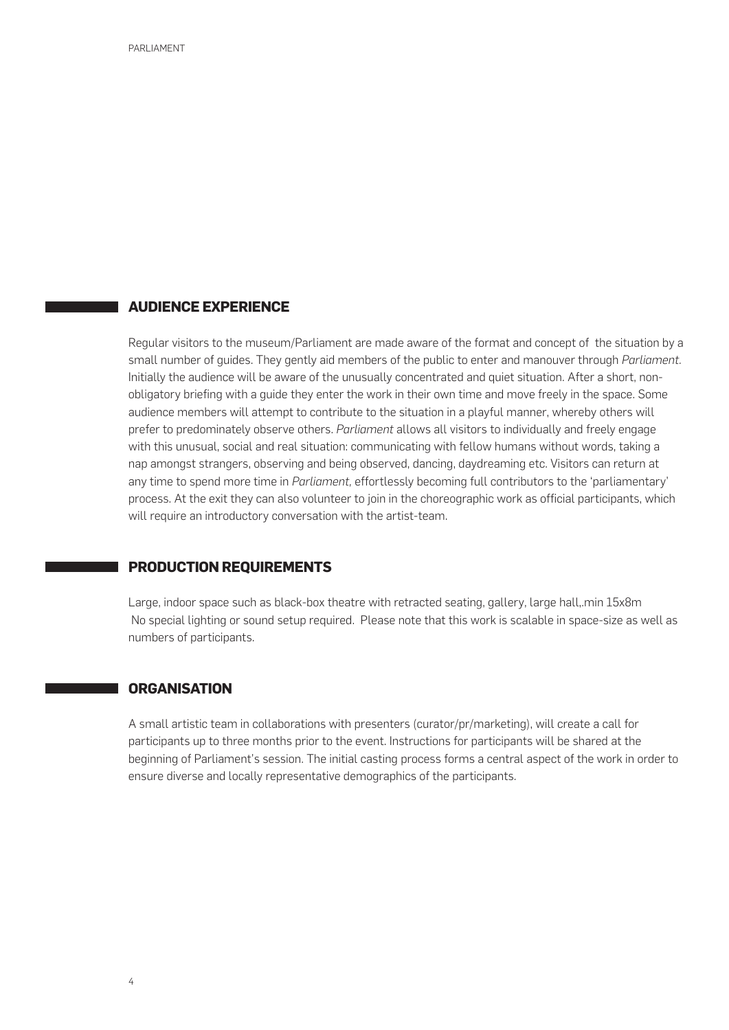## **AUDIENCE EXPERIENCE**

Regular visitors to the museum/Parliament are made aware of the format and concept of the situation by a small number of guides. They gently aid members of the public to enter and manouver through *Parliament.* Initially the audience will be aware of the unusually concentrated and quiet situation. After a short, nonobligatory briefing with a guide they enter the work in their own time and move freely in the space. Some audience members will attempt to contribute to the situation in a playful manner, whereby others will prefer to predominately observe others. *Parliament* allows all visitors to individually and freely engage with this unusual, social and real situation: communicating with fellow humans without words, taking a nap amongst strangers, observing and being observed, dancing, daydreaming etc. Visitors can return at any time to spend more time in *Parliament,* effortlessly becoming full contributors to the 'parliamentary' process. At the exit they can also volunteer to join in the choreographic work as official participants, which will require an introductory conversation with the artist-team.

#### **PRODUCTION REQUIREMENTS**

Large, indoor space such as black-box theatre with retracted seating, gallery, large hall,.min 15x8m No special lighting or sound setup required. Please note that this work is scalable in space-size as well as numbers of participants.

### **ORGANISATION**

A small artistic team in collaborations with presenters (curator/pr/marketing), will create a call for participants up to three months prior to the event. Instructions for participants will be shared at the beginning of Parliament's session. The initial casting process forms a central aspect of the work in order to ensure diverse and locally representative demographics of the participants.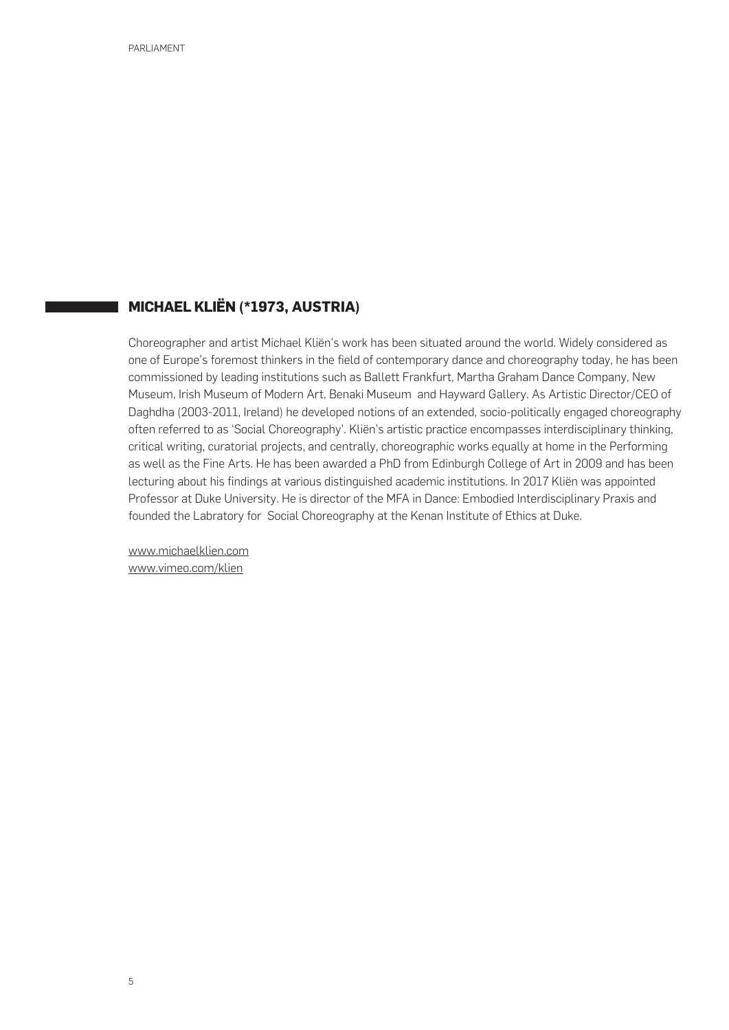# **MICHAEL KLIËN (\*1973, AUSTRIA)**

Choreographer and artist Michael Kliën's work has been situated around the world. Widely considered as one of Europe's foremost thinkers in the field of contemporary dance and choreography today, he has been commissioned by leading institutions such as Ballett Frankfurt, Martha Graham Dance Company, New Museum, Irish Museum of Modern Art, Benaki Museum and Hayward Gallery. As Artistic Director/CEO of Daghdha (2003-2011, Ireland) he developed notions of an extended, socio-politically engaged choreography often referred to as 'Social Choreography'. Kliën's artistic practice encompasses interdisciplinary thinking, critical writing, curatorial projects, and centrally, choreographic works equally at home in the Performing as well as the Fine Arts. He has been awarded a PhD from Edinburgh College of Art in 2009 and has been lecturing about his findings at various distinguished academic institutions. In 2017 Kliën was appointed Professor at Duke University. He is director of the MFA in Dance: Embodied Interdisciplinary Praxis and founded the Labratory for Social Choreography at the Kenan Institute of Ethics at Duke.

www.michaelklien.com www.vimeo.com/klien